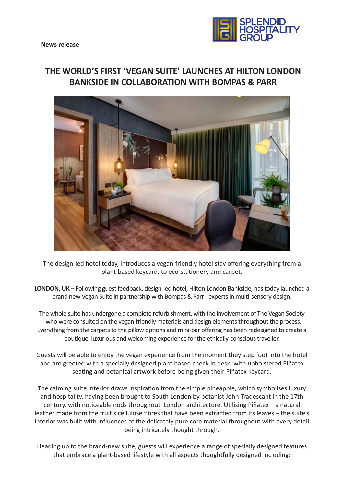

# **THE WORLD'S FIRST 'VEGAN SUITE' LAUNCHES AT HILTON LONDON BANKSIDE IN COLLABORATION WITH BOMPAS & PARR**



The design-led hotel today, introduces a vegan-friendly hotel stay offering everything from a plant-based keycard, to eco-stationery and carpet.

**LONDON, UK** – Following guest feedback, design-led hotel, Hilton London Bankside, has today launched a brand new Vegan Suite in partnership with Bompas & Parr - experts in multi-sensory design.

The whole suite has undergone a complete refurbishment, with the involvement of The Vegan Society - who were consulted on the vegan-friendly materials and design elements throughout the process. Everything from the carpets to the pillow options and mini-bar offering has been redesigned to create a boutique, luxurious and welcoming experience for the ethically-conscious traveller.

Guests will be able to enjoy the vegan experience from the moment they step foot into the hotel and are greeted with a specially designed plant-based check-in desk, with upholstered Piñatex seating and botanical artwork before being given their Piñatex keycard.

The calming suite interior draws inspiration from the simple pineapple, which symbolises luxury and hospitality, having been brought to South London by botanist John Tradescant in the 17th century, with noticeable nods throughout London architecture. Utilising Piñatex – a natural leather made from the fruit's cellulose fibres that have been extracted from its leaves – the suite's interior was built with influences of the delicately pure core material throughout with every detail being intricately thought through.

Heading up to the brand-new suite, guests will experience a range of specially designed features that embrace a plant-based lifestyle with all aspects thoughtfully designed including: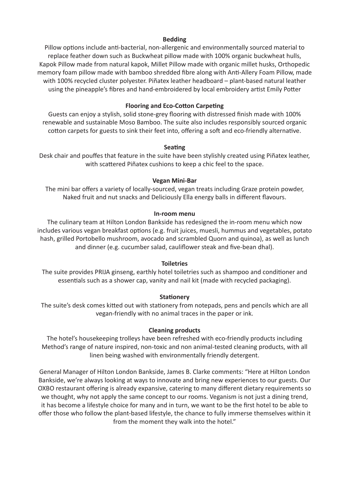# **Bedding**

Pillow options include anti-bacterial, non-allergenic and environmentally sourced material to replace feather down such as Buckwheat pillow made with 100% organic buckwheat hulls, Kapok Pillow made from natural kapok, Millet Pillow made with organic millet husks, Orthopedic memory foam pillow made with bamboo shredded fibre along with Anti-Allery Foam Pillow, made with 100% recycled cluster polyester. Piñatex leather headboard – plant-based natural leather using the pineapple's fibres and hand-embroidered by local embroidery artist Emily Potter

# **Flooring and Eco-Cotton Carpeting**

Guests can enjoy a stylish, solid stone-grey flooring with distressed finish made with 100% renewable and sustainable Moso Bamboo. The suite also includes responsibly sourced organic cotton carpets for guests to sink their feet into, offering a soft and eco-friendly alternative.

#### **Seating**

Desk chair and pouffes that feature in the suite have been stylishly created using Piñatex leather, with scattered Piñatex cushions to keep a chic feel to the space.

#### **Vegan Mini-Bar**

The mini bar offers a variety of locally-sourced, vegan treats including Graze protein powder, Naked fruit and nut snacks and Deliciously Ella energy balls in different flavours.

#### **In-room menu**

The culinary team at Hilton London Bankside has redesigned the in-room menu which now includes various vegan breakfast options (e.g. fruit juices, muesli, hummus and vegetables, potato hash, grilled Portobello mushroom, avocado and scrambled Quorn and quinoa), as well as lunch and dinner (e.g. cucumber salad, cauliflower steak and five-bean dhal).

## **Toiletries**

The suite provides PRIJA ginseng, earthly hotel toiletries such as shampoo and conditioner and essentials such as a shower cap, vanity and nail kit (made with recycled packaging).

## **Stationery**

The suite's desk comes kitted out with stationery from notepads, pens and pencils which are all vegan-friendly with no animal traces in the paper or ink.

#### **Cleaning products**

The hotel's housekeeping trolleys have been refreshed with eco-friendly products including Method's range of nature inspired, non-toxic and non animal-tested cleaning products, with all linen being washed with environmentally friendly detergent.

General Manager of Hilton London Bankside, James B. Clarke comments: "Here at Hilton London Bankside, we're always looking at ways to innovate and bring new experiences to our guests. Our OXBO restaurant offering is already expansive, catering to many different dietary requirements so we thought, why not apply the same concept to our rooms. Veganism is not just a dining trend, it has become a lifestyle choice for many and in turn, we want to be the first hotel to be able to offer those who follow the plant-based lifestyle, the chance to fully immerse themselves within it from the moment they walk into the hotel."